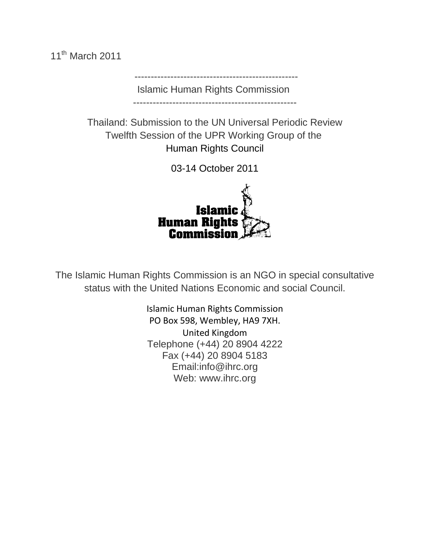11<sup>th</sup> March 2011

 -------------------------------------------------- Islamic Human Rights Commission

--------------------------------------------------

Thailand: Submission to the UN Universal Periodic Review Twelfth Session of the UPR Working Group of the Human Rights Council

03-14 October 2011



The Islamic Human Rights Commission is an NGO in special consultative status with the United Nations Economic and social Council.

> Islamic Human Rights Commission PO Box 598, Wembley, HA9 7XH. United Kingdom Telephone (+44) 20 8904 4222 Fax (+44) 20 8904 5183 Email:info@ihrc.org Web: www.ihrc.org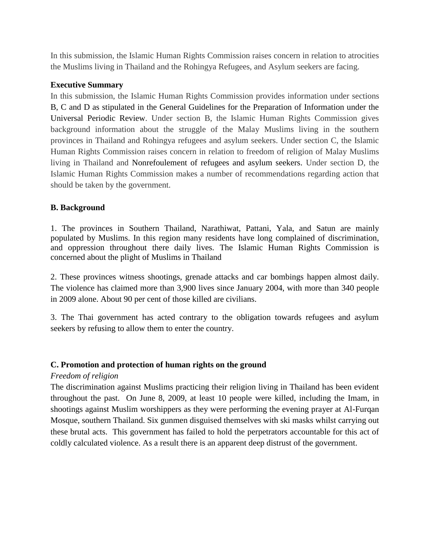In this submission, the Islamic Human Rights Commission raises concern in relation to atrocities the Muslims living in Thailand and the Rohingya Refugees, and Asylum seekers are facing.

# **Executive Summary**

In this submission, the Islamic Human Rights Commission provides information under sections B, C and D as stipulated in the General Guidelines for the Preparation of Information under the Universal Periodic Review. Under section B, the Islamic Human Rights Commission gives background information about the struggle of the Malay Muslims living in the southern provinces in Thailand and Rohingya refugees and asylum seekers. Under section C, the Islamic Human Rights Commission raises concern in relation to freedom of religion of Malay Muslims living in Thailand and Nonrefoulement of refugees and asylum seekers. Under section D, the Islamic Human Rights Commission makes a number of recommendations regarding action that should be taken by the government.

# **B. Background**

1. The provinces in Southern Thailand, Narathiwat, Pattani, Yala, and Satun are mainly populated by Muslims. In this region many residents have long complained of discrimination, and oppression throughout there daily lives. The Islamic Human Rights Commission is concerned about the plight of Muslims in Thailand

2. These provinces witness shootings, grenade attacks and car bombings happen almost daily. The violence has claimed more than 3,900 lives since January 2004, with more than 340 people in 2009 alone. About 90 per cent of those killed are civilians.

3. The Thai government has acted contrary to the obligation towards refugees and asylum seekers by refusing to allow them to enter the country.

# **C. Promotion and protection of human rights on the ground**

### *Freedom of religion*

The discrimination against Muslims practicing their religion living in Thailand has been evident throughout the past. On June 8, 2009, at least 10 people were killed, including the Imam, in shootings against Muslim worshippers as they were performing the evening prayer at Al-Furqan Mosque, southern Thailand. Six gunmen disguised themselves with ski masks whilst carrying out these brutal acts. This government has failed to hold the perpetrators accountable for this act of coldly calculated violence. As a result there is an apparent deep distrust of the government.